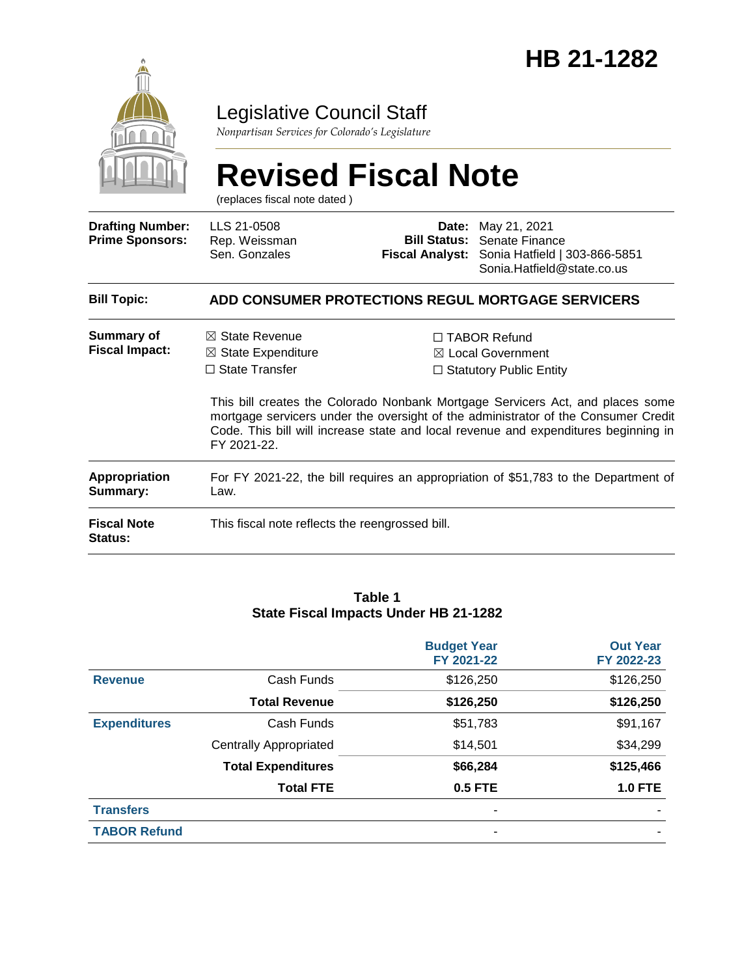

### Legislative Council Staff

*Nonpartisan Services for Colorado's Legislature*

# **Revised Fiscal Note**

(replaces fiscal note dated )

| <b>Drafting Number:</b><br><b>Prime Sponsors:</b> | LLS 21-0508<br>Rep. Weissman<br>Sen. Gonzales                                                                                                                                                                                                                              |  | <b>Date:</b> May 21, 2021<br><b>Bill Status:</b> Senate Finance<br>Fiscal Analyst: Sonia Hatfield   303-866-5851<br>Sonia.Hatfield@state.co.us |  |
|---------------------------------------------------|----------------------------------------------------------------------------------------------------------------------------------------------------------------------------------------------------------------------------------------------------------------------------|--|------------------------------------------------------------------------------------------------------------------------------------------------|--|
| <b>Bill Topic:</b>                                |                                                                                                                                                                                                                                                                            |  | ADD CONSUMER PROTECTIONS REGUL MORTGAGE SERVICERS                                                                                              |  |
| Summary of<br><b>Fiscal Impact:</b>               | $\boxtimes$ State Revenue<br>$\boxtimes$ State Expenditure<br>$\Box$ State Transfer                                                                                                                                                                                        |  | $\Box$ TABOR Refund<br>$\boxtimes$ Local Government<br>$\Box$ Statutory Public Entity                                                          |  |
|                                                   | This bill creates the Colorado Nonbank Mortgage Servicers Act, and places some<br>mortgage servicers under the oversight of the administrator of the Consumer Credit<br>Code. This bill will increase state and local revenue and expenditures beginning in<br>FY 2021-22. |  |                                                                                                                                                |  |
| <b>Appropriation</b><br>Summary:                  | For FY 2021-22, the bill requires an appropriation of \$51,783 to the Department of<br>Law.                                                                                                                                                                                |  |                                                                                                                                                |  |
| <b>Fiscal Note</b><br><b>Status:</b>              | This fiscal note reflects the reengrossed bill.                                                                                                                                                                                                                            |  |                                                                                                                                                |  |

#### **Table 1 State Fiscal Impacts Under HB 21-1282**

|                     |                               | <b>Budget Year</b><br>FY 2021-22 | <b>Out Year</b><br>FY 2022-23 |
|---------------------|-------------------------------|----------------------------------|-------------------------------|
| <b>Revenue</b>      | Cash Funds                    | \$126,250                        | \$126,250                     |
|                     | <b>Total Revenue</b>          | \$126,250                        | \$126,250                     |
| <b>Expenditures</b> | Cash Funds                    | \$51,783                         | \$91,167                      |
|                     | <b>Centrally Appropriated</b> | \$14,501                         | \$34,299                      |
|                     | <b>Total Expenditures</b>     | \$66,284                         | \$125,466                     |
|                     | <b>Total FTE</b>              | 0.5 FTE                          | <b>1.0 FTE</b>                |
| <b>Transfers</b>    |                               |                                  |                               |
| <b>TABOR Refund</b> |                               | ۰                                |                               |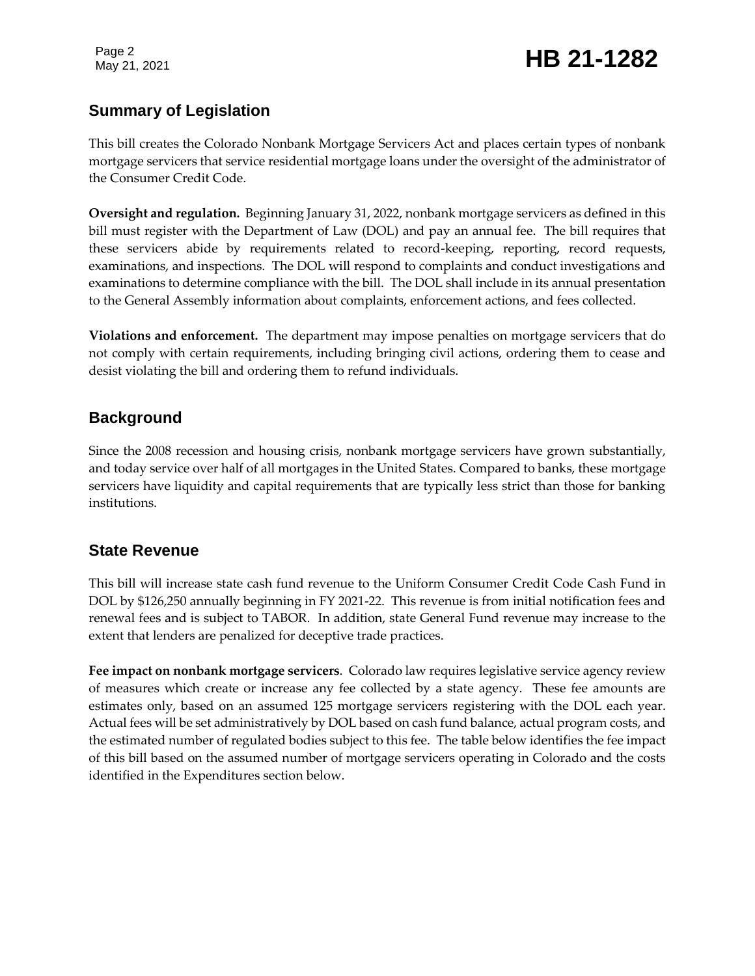Page 2

### Page 2<br>May 21, 2021 **HB 21-1282**

#### **Summary of Legislation**

This bill creates the Colorado Nonbank Mortgage Servicers Act and places certain types of nonbank mortgage servicers that service residential mortgage loans under the oversight of the administrator of the Consumer Credit Code.

**Oversight and regulation.** Beginning January 31, 2022, nonbank mortgage servicers as defined in this bill must register with the Department of Law (DOL) and pay an annual fee. The bill requires that these servicers abide by requirements related to record-keeping, reporting, record requests, examinations, and inspections. The DOL will respond to complaints and conduct investigations and examinations to determine compliance with the bill. The DOL shall include in its annual presentation to the General Assembly information about complaints, enforcement actions, and fees collected.

**Violations and enforcement.** The department may impose penalties on mortgage servicers that do not comply with certain requirements, including bringing civil actions, ordering them to cease and desist violating the bill and ordering them to refund individuals.

#### **Background**

Since the 2008 recession and housing crisis, nonbank mortgage servicers have grown substantially, and today service over half of all mortgages in the United States. Compared to banks, these mortgage servicers have liquidity and capital requirements that are typically less strict than those for banking institutions.

#### **State Revenue**

This bill will increase state cash fund revenue to the Uniform Consumer Credit Code Cash Fund in DOL by \$126,250 annually beginning in FY 2021-22. This revenue is from initial notification fees and renewal fees and is subject to TABOR. In addition, state General Fund revenue may increase to the extent that lenders are penalized for deceptive trade practices.

**Fee impact on nonbank mortgage servicers**. Colorado law requires legislative service agency review of measures which create or increase any fee collected by a state agency. These fee amounts are estimates only, based on an assumed 125 mortgage servicers registering with the DOL each year. Actual fees will be set administratively by DOL based on cash fund balance, actual program costs, and the estimated number of regulated bodies subject to this fee. The table below identifies the fee impact of this bill based on the assumed number of mortgage servicers operating in Colorado and the costs identified in the Expenditures section below.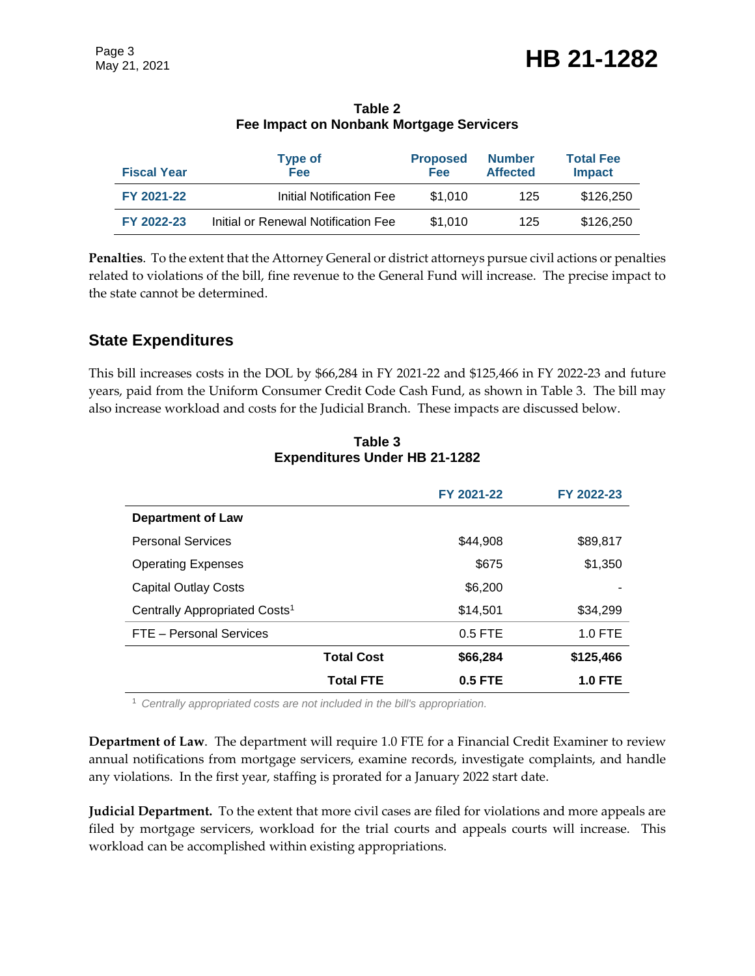| Table 2                                  |  |
|------------------------------------------|--|
| Fee Impact on Nonbank Mortgage Servicers |  |

| <b>Fiscal Year</b> | <b>Type of</b><br>Fee               | <b>Proposed</b><br><b>Fee</b> | <b>Number</b><br><b>Affected</b> | <b>Total Fee</b><br><b>Impact</b> |
|--------------------|-------------------------------------|-------------------------------|----------------------------------|-----------------------------------|
| FY 2021-22         | Initial Notification Fee            | \$1.010                       | 125                              | \$126,250                         |
| FY 2022-23         | Initial or Renewal Notification Fee | \$1,010                       | 125                              | \$126,250                         |

**Penalties**. To the extent that the Attorney General or district attorneys pursue civil actions or penalties related to violations of the bill, fine revenue to the General Fund will increase. The precise impact to the state cannot be determined.

#### **State Expenditures**

This bill increases costs in the DOL by \$66,284 in FY 2021-22 and \$125,466 in FY 2022-23 and future years, paid from the Uniform Consumer Credit Code Cash Fund, as shown in Table 3. The bill may also increase workload and costs for the Judicial Branch. These impacts are discussed below.

|                                           | FY 2021-22 | FY 2022-23     |
|-------------------------------------------|------------|----------------|
| <b>Department of Law</b>                  |            |                |
| <b>Personal Services</b>                  | \$44.908   | \$89,817       |
| <b>Operating Expenses</b>                 | \$675      | \$1,350        |
| <b>Capital Outlay Costs</b>               | \$6,200    |                |
| Centrally Appropriated Costs <sup>1</sup> | \$14,501   | \$34,299       |
| FTE - Personal Services                   | $0.5$ FTE  | $1.0$ FTE      |
| <b>Total Cost</b>                         | \$66,284   | \$125,466      |
| <b>Total FTE</b>                          | $0.5$ FTE  | <b>1.0 FTE</b> |

**Table 3 Expenditures Under HB 21-1282**

<sup>1</sup> *Centrally appropriated costs are not included in the bill's appropriation.*

**Department of Law**. The department will require 1.0 FTE for a Financial Credit Examiner to review annual notifications from mortgage servicers, examine records, investigate complaints, and handle any violations. In the first year, staffing is prorated for a January 2022 start date.

**Judicial Department.** To the extent that more civil cases are filed for violations and more appeals are filed by mortgage servicers, workload for the trial courts and appeals courts will increase. This workload can be accomplished within existing appropriations.